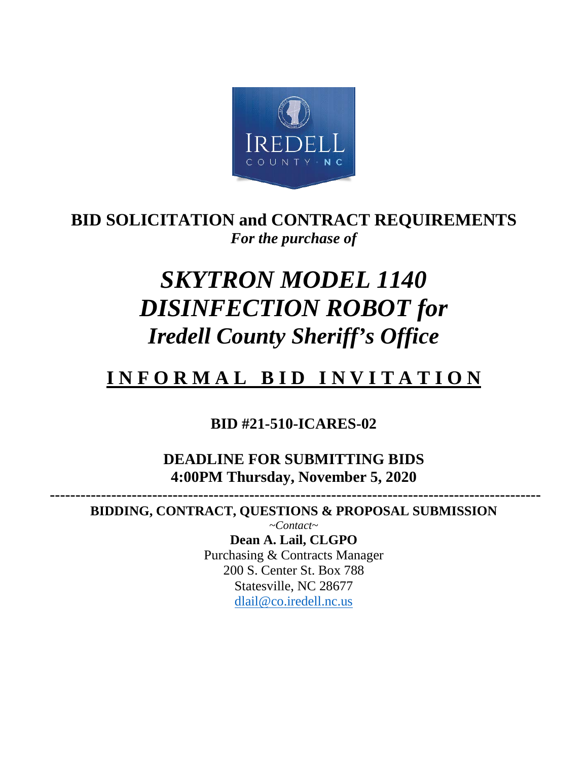

# **BID SOLICITATION and CONTRACT REQUIREMENTS** *For the purchase of*

# *SKYTRON MODEL 1140 DISINFECTION ROBOT for Iredell County Sheriff's Office*

# **I N F O R M A L B I D I N V I T A T I O N**

## **BID #21-510-ICARES-02**

**DEADLINE FOR SUBMITTING BIDS 4:00PM Thursday, November 5, 2020**

 **------------------------------------------------------------------------------------------------ BIDDING, CONTRACT, QUESTIONS & PROPOSAL SUBMISSION** 

> *~Contact~* **Dean A. Lail, CLGPO** Purchasing & Contracts Manager 200 S. Center St. Box 788 Statesville, NC 28677 [dlail@co.iredell.nc.us](mailto:dlail@co.iredell.nc.us)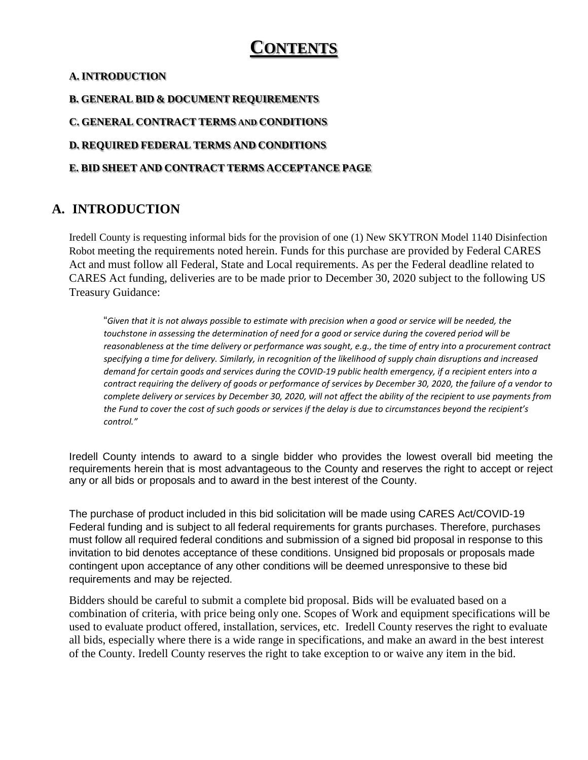# **CONTENTS**

#### **A. INTRODUCTION**

#### **B. GENERAL BID & DOCUMENT REQUIREMENTS**

**C. GENERAL CONTRACT TERMS AND CONDITIONS**

**D. REQUIRED FEDERAL TERMS AND CONDITIONS**

#### **E. BID SHEET AND CONTRACT TERMS ACCEPTANCE PAGE**

### **A. INTRODUCTION**

Iredell County is requesting informal bids for the provision of one (1) New SKYTRON Model 1140 Disinfection Robot meeting the requirements noted herein. Funds for this purchase are provided by Federal CARES Act and must follow all Federal, State and Local requirements. As per the Federal deadline related to CARES Act funding, deliveries are to be made prior to December 30, 2020 subject to the following US Treasury Guidance:

"*Given that it is not always possible to estimate with precision when a good or service will be needed, the touchstone in assessing the determination of need for a good or service during the covered period will be reasonableness at the time delivery or performance was sought, e.g., the time of entry into a procurement contract specifying a time for delivery. Similarly, in recognition of the likelihood of supply chain disruptions and increased demand for certain goods and services during the COVID-19 public health emergency, if a recipient enters into a contract requiring the delivery of goods or performance of services by December 30, 2020, the failure of a vendor to complete delivery or services by December 30, 2020, will not affect the ability of the recipient to use payments from the Fund to cover the cost of such goods or services if the delay is due to circumstances beyond the recipient's control."* 

Iredell County intends to award to a single bidder who provides the lowest overall bid meeting the requirements herein that is most advantageous to the County and reserves the right to accept or reject any or all bids or proposals and to award in the best interest of the County.

The purchase of product included in this bid solicitation will be made using CARES Act/COVID-19 Federal funding and is subject to all federal requirements for grants purchases. Therefore, purchases must follow all required federal conditions and submission of a signed bid proposal in response to this invitation to bid denotes acceptance of these conditions. Unsigned bid proposals or proposals made contingent upon acceptance of any other conditions will be deemed unresponsive to these bid requirements and may be rejected.

Bidders should be careful to submit a complete bid proposal. Bids will be evaluated based on a combination of criteria, with price being only one. Scopes of Work and equipment specifications will be used to evaluate product offered, installation, services, etc. Iredell County reserves the right to evaluate all bids, especially where there is a wide range in specifications, and make an award in the best interest of the County. Iredell County reserves the right to take exception to or waive any item in the bid.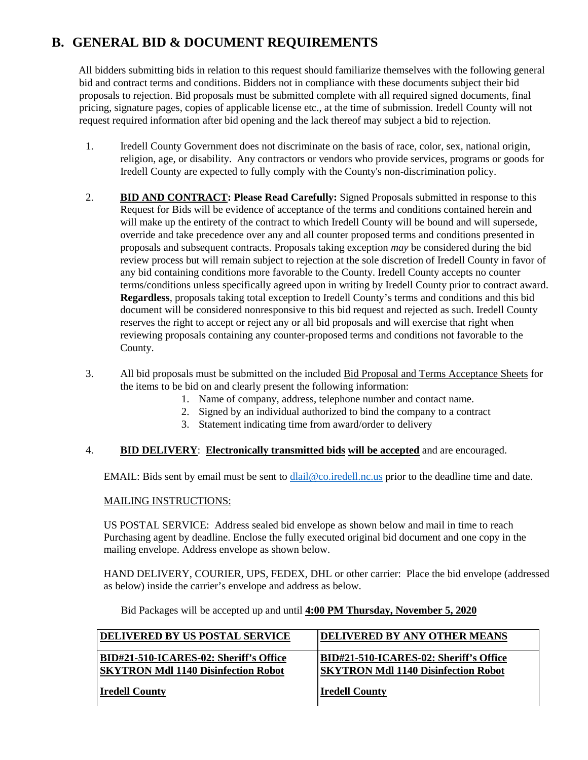## **B. GENERAL BID & DOCUMENT REQUIREMENTS**

All bidders submitting bids in relation to this request should familiarize themselves with the following general bid and contract terms and conditions. Bidders not in compliance with these documents subject their bid proposals to rejection. Bid proposals must be submitted complete with all required signed documents, final pricing, signature pages, copies of applicable license etc., at the time of submission. Iredell County will not request required information after bid opening and the lack thereof may subject a bid to rejection.

- 1. Iredell County Government does not discriminate on the basis of race, color, sex, national origin, religion, age, or disability. Any contractors or vendors who provide services, programs or goods for Iredell County are expected to fully comply with the County's non-discrimination policy.
- 2. **BID AND CONTRACT: Please Read Carefully:** Signed Proposals submitted in response to this Request for Bids will be evidence of acceptance of the terms and conditions contained herein and will make up the entirety of the contract to which Iredell County will be bound and will supersede, override and take precedence over any and all counter proposed terms and conditions presented in proposals and subsequent contracts. Proposals taking exception *may* be considered during the bid review process but will remain subject to rejection at the sole discretion of Iredell County in favor of any bid containing conditions more favorable to the County. Iredell County accepts no counter terms/conditions unless specifically agreed upon in writing by Iredell County prior to contract award. **Regardless**, proposals taking total exception to Iredell County's terms and conditions and this bid document will be considered nonresponsive to this bid request and rejected as such. Iredell County reserves the right to accept or reject any or all bid proposals and will exercise that right when reviewing proposals containing any counter-proposed terms and conditions not favorable to the County.
- 3. All bid proposals must be submitted on the included Bid Proposal and Terms Acceptance Sheets for the items to be bid on and clearly present the following information:
	- 1. Name of company, address, telephone number and contact name.
	- 2. Signed by an individual authorized to bind the company to a contract
	- 3. Statement indicating time from award/order to delivery

#### 4. **BID DELIVERY**: **Electronically transmitted bids will be accepted** and are encouraged.

EMAIL: Bids sent by email must be sent to [dlail@co.iredell.nc.us](mailto:dlail@co.iredell.nc.us) prior to the deadline time and date.

#### MAILING INSTRUCTIONS:

US POSTAL SERVICE: Address sealed bid envelope as shown below and mail in time to reach Purchasing agent by deadline. Enclose the fully executed original bid document and one copy in the mailing envelope. Address envelope as shown below.

HAND DELIVERY, COURIER, UPS, FEDEX, DHL or other carrier: Place the bid envelope (addressed as below) inside the carrier's envelope and address as below.

Bid Packages will be accepted up and until **4:00 PM Thursday, November 5, 2020**

| <b>DELIVERED BY US POSTAL SERVICE</b>  | DELIVERED BY ANY OTHER MEANS               |
|----------------------------------------|--------------------------------------------|
| BID#21-510-ICARES-02: Sheriff's Office | BID#21-510-ICARES-02: Sheriff's Office     |
| SKYTRON Mdl 1140 Disinfection Robot    | <b>SKYTRON Mdl 1140 Disinfection Robot</b> |
| <b>Iredell County</b>                  | <b>Iredell County</b>                      |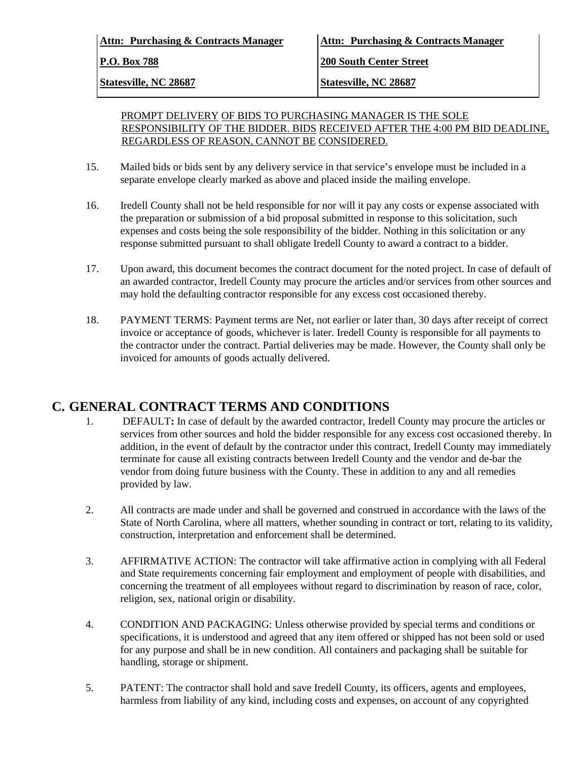| Attn: Purchasing & Contracts Manager |  |  |
|--------------------------------------|--|--|
| $P_{\cdot}$ $\Omega$ Rox 788         |  |  |

**Attn: Purchasing & Contracts Manager Attn: Purchasing & Contracts Manager**

**P.O. Box 788 200 South Center Street**

**Statesville, NC 28687 Statesville, NC 28687**

#### PROMPT DELIVERY OF BIDS TO PURCHASING MANAGER IS THE SOLE RESPONSIBILITY OF THE BIDDER. BIDS RECEIVED AFTER THE 4:00 PM BID DEADLINE, REGARDLESS OF REASON, CANNOT BE CONSIDERED.

- 15. Mailed bids or bids sent by any delivery service in that service's envelope must be included in a separate envelope clearly marked as above and placed inside the mailing envelope.
- 16. Iredell County shall not be held responsible for nor will it pay any costs or expense associated with the preparation or submission of a bid proposal submitted in response to this solicitation, such expenses and costs being the sole responsibility of the bidder. Nothing in this solicitation or any response submitted pursuant to shall obligate Iredell County to award a contract to a bidder.
- 17. Upon award, this document becomes the contract document for the noted project. In case of default of an awarded contractor, Iredell County may procure the articles and/or services from other sources and may hold the defaulting contractor responsible for any excess cost occasioned thereby.
- 18. PAYMENT TERMS: Payment terms are Net, not earlier or later than, 30 days after receipt of correct invoice or acceptance of goods, whichever is later. Iredell County is responsible for all payments to the contractor under the contract. Partial deliveries may be made. However, the County shall only be invoiced for amounts of goods actually delivered.

## **C. GENERAL CONTRACT TERMS AND CONDITIONS**

- 1. DEFAULT**:** In case of default by the awarded contractor, Iredell County may procure the articles or services from other sources and hold the bidder responsible for any excess cost occasioned thereby. In addition, in the event of default by the contractor under this contract, Iredell County may immediately terminate for cause all existing contracts between Iredell County and the vendor and de-bar the vendor from doing future business with the County. These in addition to any and all remedies provided by law.
- 2. All contracts are made under and shall be governed and construed in accordance with the laws of the State of North Carolina, where all matters, whether sounding in contract or tort, relating to its validity, construction, interpretation and enforcement shall be determined.
- 3. AFFIRMATIVE ACTION: The contractor will take affirmative action in complying with all Federal and State requirements concerning fair employment and employment of people with disabilities, and concerning the treatment of all employees without regard to discrimination by reason of race, color, religion, sex, national origin or disability.
- 4. CONDITION AND PACKAGING: Unless otherwise provided by special terms and conditions or specifications, it is understood and agreed that any item offered or shipped has not been sold or used for any purpose and shall be in new condition. All containers and packaging shall be suitable for handling, storage or shipment.
- 5. PATENT: The contractor shall hold and save Iredell County, its officers, agents and employees, harmless from liability of any kind, including costs and expenses, on account of any copyrighted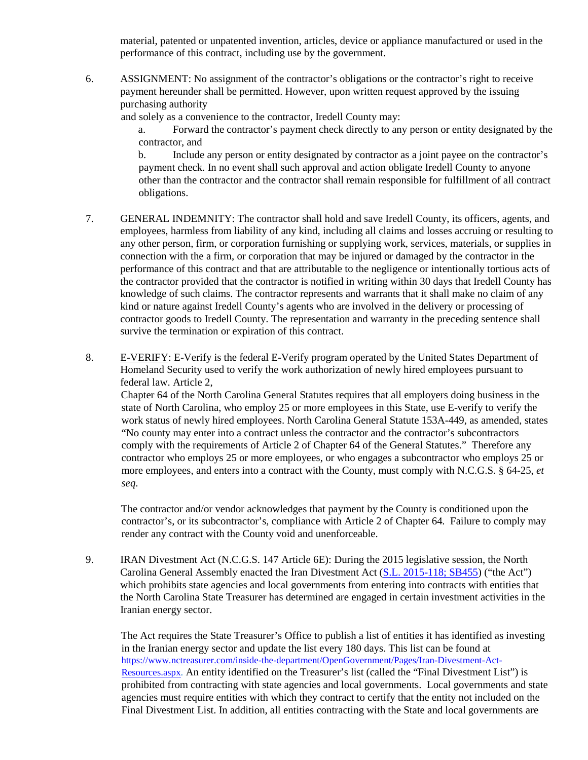material, patented or unpatented invention, articles, device or appliance manufactured or used in the performance of this contract, including use by the government.

6. ASSIGNMENT: No assignment of the contractor's obligations or the contractor's right to receive payment hereunder shall be permitted. However, upon written request approved by the issuing purchasing authority

and solely as a convenience to the contractor, Iredell County may:

a. Forward the contractor's payment check directly to any person or entity designated by the contractor, and

b. Include any person or entity designated by contractor as a joint payee on the contractor's payment check. In no event shall such approval and action obligate Iredell County to anyone other than the contractor and the contractor shall remain responsible for fulfillment of all contract obligations.

- 7. GENERAL INDEMNITY: The contractor shall hold and save Iredell County, its officers, agents, and employees, harmless from liability of any kind, including all claims and losses accruing or resulting to any other person, firm, or corporation furnishing or supplying work, services, materials, or supplies in connection with the a firm, or corporation that may be injured or damaged by the contractor in the performance of this contract and that are attributable to the negligence or intentionally tortious acts of the contractor provided that the contractor is notified in writing within 30 days that Iredell County has knowledge of such claims. The contractor represents and warrants that it shall make no claim of any kind or nature against Iredell County's agents who are involved in the delivery or processing of contractor goods to Iredell County. The representation and warranty in the preceding sentence shall survive the termination or expiration of this contract.
- 8. E-VERIFY: E-Verify is the federal E-Verify program operated by the United States Department of Homeland Security used to verify the work authorization of newly hired employees pursuant to federal law. Article 2,

Chapter 64 of the North Carolina General Statutes requires that all employers doing business in the state of North Carolina, who employ 25 or more employees in this State, use E-verify to verify the work status of newly hired employees. North Carolina General Statute 153A-449, as amended, states "No county may enter into a contract unless the contractor and the contractor's subcontractors comply with the requirements of Article 2 of Chapter 64 of the General Statutes." Therefore any contractor who employs 25 or more employees, or who engages a subcontractor who employs 25 or more employees, and enters into a contract with the County, must comply with N.C.G.S. § 64-25, *et seq*.

The contractor and/or vendor acknowledges that payment by the County is conditioned upon the contractor's, or its subcontractor's, compliance with Article 2 of Chapter 64. Failure to comply may render any contract with the County void and unenforceable.

9. IRAN Divestment Act (N.C.G.S. 147 Article 6E): During the 2015 legislative session, the North Carolina General Assembly enacted the Iran Divestment Act [\(S.L. 2015-118; SB455\)](http://www.ncleg.net/Sessions/2015/Bills/Senate/HTML/S455v5.html) ("the Act") which prohibits state agencies and local governments from entering into contracts with entities that the North Carolina State Treasurer has determined are engaged in certain investment activities in the Iranian energy sector.

The Act requires the State Treasurer's Office to publish a list of entities it has identified as investing in the Iranian energy sector and update the list every 180 days. This list can be found at [https://www.nctreasurer.com/inside-the-department/OpenGovernment/Pages/Iran-Divestment-Act-](https://www.nctreasurer.com/inside-the-department/OpenGovernment/Pages/Iran-Divestment-Act-Resources.aspx)[Resources.aspx.](https://www.nctreasurer.com/inside-the-department/OpenGovernment/Pages/Iran-Divestment-Act-Resources.aspx) An entity identified on the Treasurer's list (called the "Final Divestment List") is prohibited from contracting with state agencies and local governments. Local governments and state agencies must require entities with which they contract to certify that the entity not included on the Final Divestment List. In addition, all entities contracting with the State and local governments are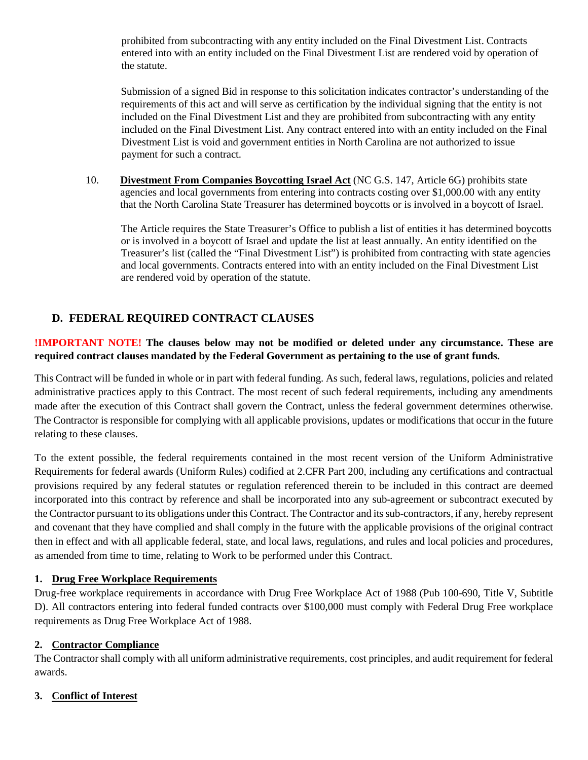prohibited from subcontracting with any entity included on the Final Divestment List. Contracts entered into with an entity included on the Final Divestment List are rendered void by operation of the statute.

Submission of a signed Bid in response to this solicitation indicates contractor's understanding of the requirements of this act and will serve as certification by the individual signing that the entity is not included on the Final Divestment List and they are prohibited from subcontracting with any entity included on the Final Divestment List. Any contract entered into with an entity included on the Final Divestment List is void and government entities in North Carolina are not authorized to issue payment for such a contract.

10. **Divestment From Companies Boycotting Israel Act** (NC G.S. 147, Article 6G) prohibits state agencies and local governments from entering into contracts costing over \$1,000.00 with any entity that the North Carolina State Treasurer has determined boycotts or is involved in a boycott of Israel.

The Article requires the State Treasurer's Office to publish a list of entities it has determined boycotts or is involved in a boycott of Israel and update the list at least annually. An entity identified on the Treasurer's list (called the "Final Divestment List") is prohibited from contracting with state agencies and local governments. Contracts entered into with an entity included on the Final Divestment List are rendered void by operation of the statute.

### **D. FEDERAL REQUIRED CONTRACT CLAUSES**

#### **!IMPORTANT NOTE! The clauses below may not be modified or deleted under any circumstance. These are required contract clauses mandated by the Federal Government as pertaining to the use of grant funds.**

This Contract will be funded in whole or in part with federal funding. As such, federal laws, regulations, policies and related administrative practices apply to this Contract. The most recent of such federal requirements, including any amendments made after the execution of this Contract shall govern the Contract, unless the federal government determines otherwise. The Contractor is responsible for complying with all applicable provisions, updates or modifications that occur in the future relating to these clauses.

To the extent possible, the federal requirements contained in the most recent version of the Uniform Administrative Requirements for federal awards (Uniform Rules) codified at 2.CFR Part 200, including any certifications and contractual provisions required by any federal statutes or regulation referenced therein to be included in this contract are deemed incorporated into this contract by reference and shall be incorporated into any sub-agreement or subcontract executed by the Contractor pursuant to its obligations under this Contract. The Contractor and its sub-contractors, if any, hereby represent and covenant that they have complied and shall comply in the future with the applicable provisions of the original contract then in effect and with all applicable federal, state, and local laws, regulations, and rules and local policies and procedures, as amended from time to time, relating to Work to be performed under this Contract.

#### **1. Drug Free Workplace Requirements**

Drug-free workplace requirements in accordance with Drug Free Workplace Act of 1988 (Pub 100-690, Title V, Subtitle D). All contractors entering into federal funded contracts over \$100,000 must comply with Federal Drug Free workplace requirements as Drug Free Workplace Act of 1988.

#### **2. Contractor Compliance**

The Contractor shall comply with all uniform administrative requirements, cost principles, and audit requirement for federal awards.

#### **3. Conflict of Interest**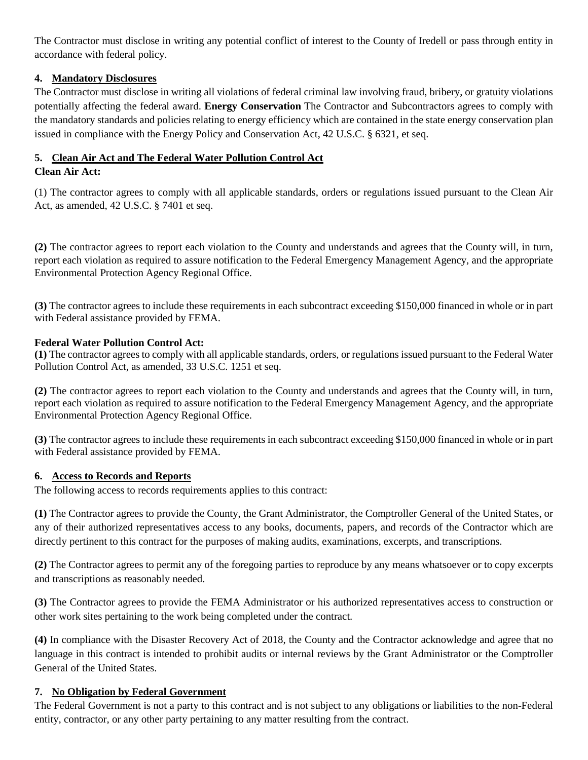The Contractor must disclose in writing any potential conflict of interest to the County of Iredell or pass through entity in accordance with federal policy.

#### **4. Mandatory Disclosures**

The Contractor must disclose in writing all violations of federal criminal law involving fraud, bribery, or gratuity violations potentially affecting the federal award. **Energy Conservation** The Contractor and Subcontractors agrees to comply with the mandatory standards and policies relating to energy efficiency which are contained in the state energy conservation plan issued in compliance with the Energy Policy and Conservation Act, 42 U.S.C. § 6321, et seq.

#### **5. Clean Air Act and The Federal Water Pollution Control Act**

#### **Clean Air Act:**

(1) The contractor agrees to comply with all applicable standards, orders or regulations issued pursuant to the Clean Air Act, as amended, 42 U.S.C. § 7401 et seq.

**(2)** The contractor agrees to report each violation to the County and understands and agrees that the County will, in turn, report each violation as required to assure notification to the Federal Emergency Management Agency, and the appropriate Environmental Protection Agency Regional Office.

**(3)** The contractor agrees to include these requirements in each subcontract exceeding \$150,000 financed in whole or in part with Federal assistance provided by FEMA.

#### **Federal Water Pollution Control Act:**

**(1)** The contractor agrees to comply with all applicable standards, orders, or regulations issued pursuant to the Federal Water Pollution Control Act, as amended, 33 U.S.C. 1251 et seq.

**(2)** The contractor agrees to report each violation to the County and understands and agrees that the County will, in turn, report each violation as required to assure notification to the Federal Emergency Management Agency, and the appropriate Environmental Protection Agency Regional Office.

**(3)** The contractor agrees to include these requirements in each subcontract exceeding \$150,000 financed in whole or in part with Federal assistance provided by FEMA.

#### **6. Access to Records and Reports**

The following access to records requirements applies to this contract:

**(1)** The Contractor agrees to provide the County, the Grant Administrator, the Comptroller General of the United States, or any of their authorized representatives access to any books, documents, papers, and records of the Contractor which are directly pertinent to this contract for the purposes of making audits, examinations, excerpts, and transcriptions.

**(2)** The Contractor agrees to permit any of the foregoing parties to reproduce by any means whatsoever or to copy excerpts and transcriptions as reasonably needed.

**(3)** The Contractor agrees to provide the FEMA Administrator or his authorized representatives access to construction or other work sites pertaining to the work being completed under the contract.

**(4)** In compliance with the Disaster Recovery Act of 2018, the County and the Contractor acknowledge and agree that no language in this contract is intended to prohibit audits or internal reviews by the Grant Administrator or the Comptroller General of the United States.

#### **7. No Obligation by Federal Government**

The Federal Government is not a party to this contract and is not subject to any obligations or liabilities to the non-Federal entity, contractor, or any other party pertaining to any matter resulting from the contract.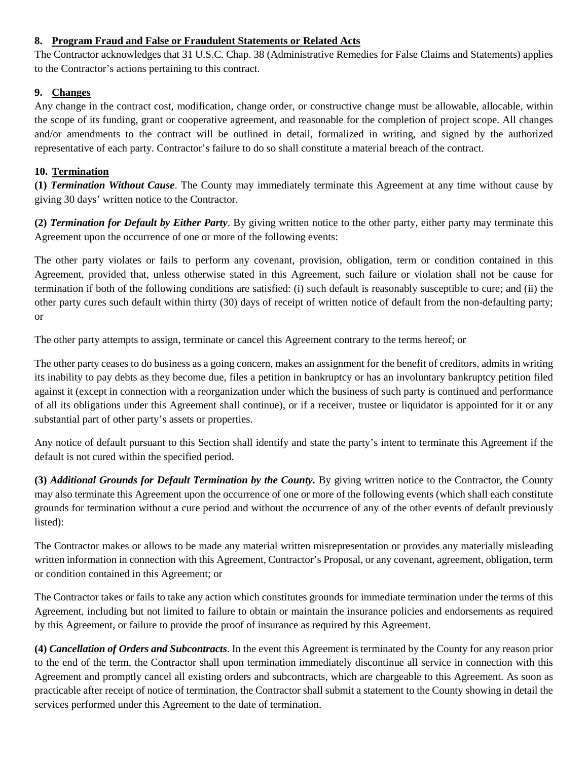#### **8. Program Fraud and False or Fraudulent Statements or Related Acts**

The Contractor acknowledges that 31 U.S.C. Chap. 38 (Administrative Remedies for False Claims and Statements) applies to the Contractor's actions pertaining to this contract.

#### **9. Changes**

Any change in the contract cost, modification, change order, or constructive change must be allowable, allocable, within the scope of its funding, grant or cooperative agreement, and reasonable for the completion of project scope. All changes and/or amendments to the contract will be outlined in detail, formalized in writing, and signed by the authorized representative of each party. Contractor's failure to do so shall constitute a material breach of the contract.

#### **10. Termination**

**(1)** *Termination Without Cause*. The County may immediately terminate this Agreement at any time without cause by giving 30 days' written notice to the Contractor.

**(2)** *Termination for Default by Either Party*. By giving written notice to the other party, either party may terminate this Agreement upon the occurrence of one or more of the following events:

The other party violates or fails to perform any covenant, provision, obligation, term or condition contained in this Agreement, provided that, unless otherwise stated in this Agreement, such failure or violation shall not be cause for termination if both of the following conditions are satisfied: (i) such default is reasonably susceptible to cure; and (ii) the other party cures such default within thirty (30) days of receipt of written notice of default from the non-defaulting party; or

The other party attempts to assign, terminate or cancel this Agreement contrary to the terms hereof; or

The other party ceases to do business as a going concern, makes an assignment for the benefit of creditors, admits in writing its inability to pay debts as they become due, files a petition in bankruptcy or has an involuntary bankruptcy petition filed against it (except in connection with a reorganization under which the business of such party is continued and performance of all its obligations under this Agreement shall continue), or if a receiver, trustee or liquidator is appointed for it or any substantial part of other party's assets or properties.

Any notice of default pursuant to this Section shall identify and state the party's intent to terminate this Agreement if the default is not cured within the specified period.

**(3)** *Additional Grounds for Default Termination by the County.* By giving written notice to the Contractor, the County may also terminate this Agreement upon the occurrence of one or more of the following events (which shall each constitute grounds for termination without a cure period and without the occurrence of any of the other events of default previously listed):

The Contractor makes or allows to be made any material written misrepresentation or provides any materially misleading written information in connection with this Agreement, Contractor's Proposal, or any covenant, agreement, obligation, term or condition contained in this Agreement; or

The Contractor takes or fails to take any action which constitutes grounds for immediate termination under the terms of this Agreement, including but not limited to failure to obtain or maintain the insurance policies and endorsements as required by this Agreement, or failure to provide the proof of insurance as required by this Agreement.

**(4)** *Cancellation of Orders and Subcontracts*. In the event this Agreement is terminated by the County for any reason prior to the end of the term, the Contractor shall upon termination immediately discontinue all service in connection with this Agreement and promptly cancel all existing orders and subcontracts, which are chargeable to this Agreement. As soon as practicable after receipt of notice of termination, the Contractor shall submit a statement to the County showing in detail the services performed under this Agreement to the date of termination.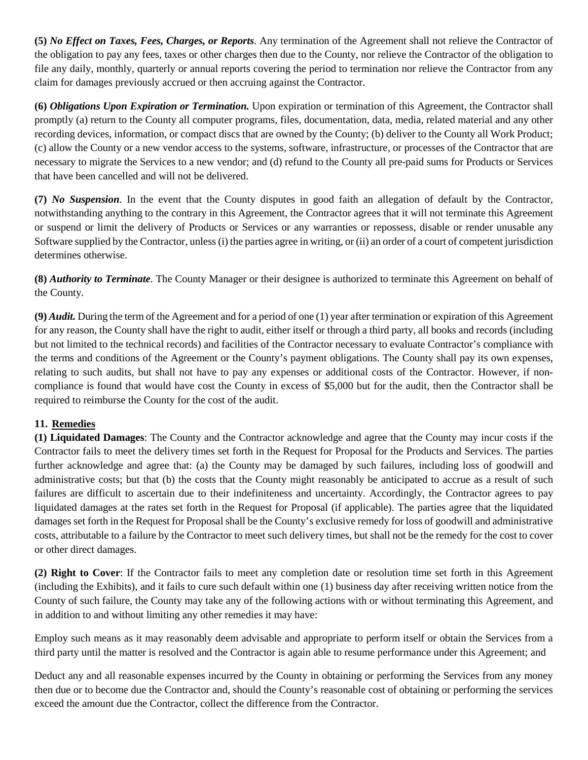**(5)** *No Effect on Taxes, Fees, Charges, or Reports*. Any termination of the Agreement shall not relieve the Contractor of the obligation to pay any fees, taxes or other charges then due to the County, nor relieve the Contractor of the obligation to file any daily, monthly, quarterly or annual reports covering the period to termination nor relieve the Contractor from any claim for damages previously accrued or then accruing against the Contractor.

**(6)** *Obligations Upon Expiration or Termination.* Upon expiration or termination of this Agreement, the Contractor shall promptly (a) return to the County all computer programs, files, documentation, data, media, related material and any other recording devices, information, or compact discs that are owned by the County; (b) deliver to the County all Work Product; (c) allow the County or a new vendor access to the systems, software, infrastructure, or processes of the Contractor that are necessary to migrate the Services to a new vendor; and (d) refund to the County all pre-paid sums for Products or Services that have been cancelled and will not be delivered.

**(7)** *No Suspension*. In the event that the County disputes in good faith an allegation of default by the Contractor, notwithstanding anything to the contrary in this Agreement, the Contractor agrees that it will not terminate this Agreement or suspend or limit the delivery of Products or Services or any warranties or repossess, disable or render unusable any Software supplied by the Contractor, unless (i) the parties agree in writing, or (ii) an order of a court of competent jurisdiction determines otherwise.

**(8)** *Authority to Terminate*. The County Manager or their designee is authorized to terminate this Agreement on behalf of the County.

**(9)** *Audit.* During the term of the Agreement and for a period of one (1) year after termination or expiration of this Agreement for any reason, the County shall have the right to audit, either itself or through a third party, all books and records (including but not limited to the technical records) and facilities of the Contractor necessary to evaluate Contractor's compliance with the terms and conditions of the Agreement or the County's payment obligations. The County shall pay its own expenses, relating to such audits, but shall not have to pay any expenses or additional costs of the Contractor. However, if noncompliance is found that would have cost the County in excess of \$5,000 but for the audit, then the Contractor shall be required to reimburse the County for the cost of the audit.

#### **11. Remedies**

**(1) Liquidated Damages**: The County and the Contractor acknowledge and agree that the County may incur costs if the Contractor fails to meet the delivery times set forth in the Request for Proposal for the Products and Services. The parties further acknowledge and agree that: (a) the County may be damaged by such failures, including loss of goodwill and administrative costs; but that (b) the costs that the County might reasonably be anticipated to accrue as a result of such failures are difficult to ascertain due to their indefiniteness and uncertainty. Accordingly, the Contractor agrees to pay liquidated damages at the rates set forth in the Request for Proposal (if applicable). The parties agree that the liquidated damages set forth in the Request for Proposal shall be the County's exclusive remedy for loss of goodwill and administrative costs, attributable to a failure by the Contractor to meet such delivery times, but shall not be the remedy for the cost to cover or other direct damages.

**(2) Right to Cover**: If the Contractor fails to meet any completion date or resolution time set forth in this Agreement (including the Exhibits), and it fails to cure such default within one (1) business day after receiving written notice from the County of such failure, the County may take any of the following actions with or without terminating this Agreement, and in addition to and without limiting any other remedies it may have:

Employ such means as it may reasonably deem advisable and appropriate to perform itself or obtain the Services from a third party until the matter is resolved and the Contractor is again able to resume performance under this Agreement; and

Deduct any and all reasonable expenses incurred by the County in obtaining or performing the Services from any money then due or to become due the Contractor and, should the County's reasonable cost of obtaining or performing the services exceed the amount due the Contractor, collect the difference from the Contractor.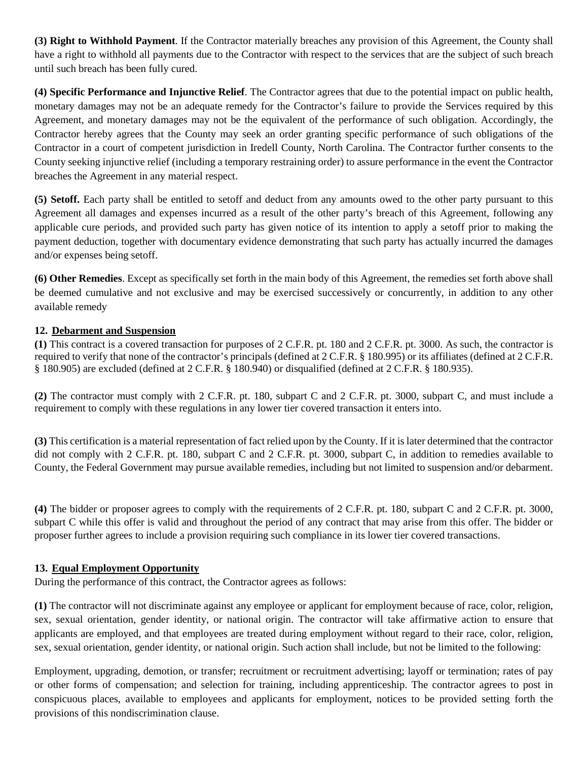**(3) Right to Withhold Payment**. If the Contractor materially breaches any provision of this Agreement, the County shall have a right to withhold all payments due to the Contractor with respect to the services that are the subject of such breach until such breach has been fully cured.

**(4) Specific Performance and Injunctive Relief**. The Contractor agrees that due to the potential impact on public health, monetary damages may not be an adequate remedy for the Contractor's failure to provide the Services required by this Agreement, and monetary damages may not be the equivalent of the performance of such obligation. Accordingly, the Contractor hereby agrees that the County may seek an order granting specific performance of such obligations of the Contractor in a court of competent jurisdiction in Iredell County, North Carolina. The Contractor further consents to the County seeking injunctive relief (including a temporary restraining order) to assure performance in the event the Contractor breaches the Agreement in any material respect.

**(5) Setoff.** Each party shall be entitled to setoff and deduct from any amounts owed to the other party pursuant to this Agreement all damages and expenses incurred as a result of the other party's breach of this Agreement, following any applicable cure periods, and provided such party has given notice of its intention to apply a setoff prior to making the payment deduction, together with documentary evidence demonstrating that such party has actually incurred the damages and/or expenses being setoff.

**(6) Other Remedies**. Except as specifically set forth in the main body of this Agreement, the remedies set forth above shall be deemed cumulative and not exclusive and may be exercised successively or concurrently, in addition to any other available remedy

#### **12. Debarment and Suspension**

**(1)** This contract is a covered transaction for purposes of 2 C.F.R. pt. 180 and 2 C.F.R. pt. 3000. As such, the contractor is required to verify that none of the contractor's principals (defined at 2 C.F.R. § 180.995) or its affiliates (defined at 2 C.F.R. § 180.905) are excluded (defined at 2 C.F.R. § 180.940) or disqualified (defined at 2 C.F.R. § 180.935).

**(2)** The contractor must comply with 2 C.F.R. pt. 180, subpart C and 2 C.F.R. pt. 3000, subpart C, and must include a requirement to comply with these regulations in any lower tier covered transaction it enters into.

**(3)** This certification is a material representation of fact relied upon by the County. If it is later determined that the contractor did not comply with 2 C.F.R. pt. 180, subpart C and 2 C.F.R. pt. 3000, subpart C, in addition to remedies available to County, the Federal Government may pursue available remedies, including but not limited to suspension and/or debarment.

**(4)** The bidder or proposer agrees to comply with the requirements of 2 C.F.R. pt. 180, subpart C and 2 C.F.R. pt. 3000, subpart C while this offer is valid and throughout the period of any contract that may arise from this offer. The bidder or proposer further agrees to include a provision requiring such compliance in its lower tier covered transactions.

#### **13. Equal Employment Opportunity**

During the performance of this contract, the Contractor agrees as follows:

**(1)** The contractor will not discriminate against any employee or applicant for employment because of race, color, religion, sex, sexual orientation, gender identity, or national origin. The contractor will take affirmative action to ensure that applicants are employed, and that employees are treated during employment without regard to their race, color, religion, sex, sexual orientation, gender identity, or national origin. Such action shall include, but not be limited to the following:

Employment, upgrading, demotion, or transfer; recruitment or recruitment advertising; layoff or termination; rates of pay or other forms of compensation; and selection for training, including apprenticeship. The contractor agrees to post in conspicuous places, available to employees and applicants for employment, notices to be provided setting forth the provisions of this nondiscrimination clause.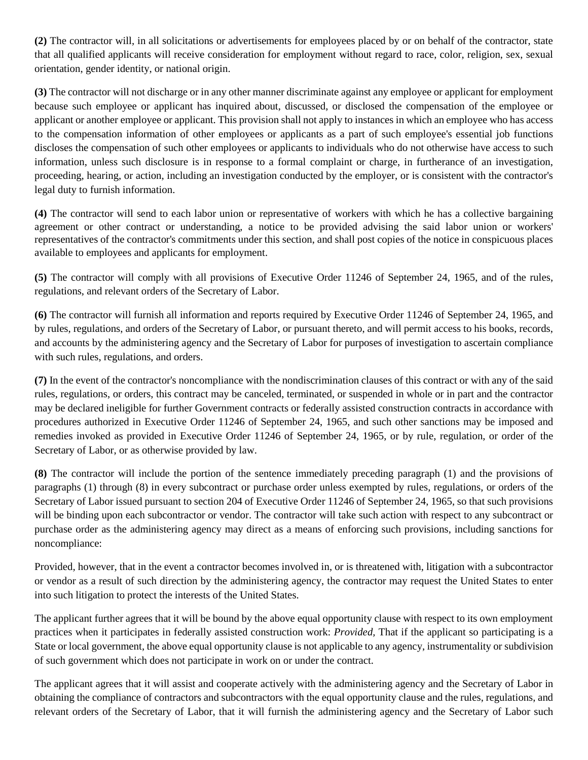**(2)** The contractor will, in all solicitations or advertisements for employees placed by or on behalf of the contractor, state that all qualified applicants will receive consideration for employment without regard to race, color, religion, sex, sexual orientation, gender identity, or national origin.

**(3)** The contractor will not discharge or in any other manner discriminate against any employee or applicant for employment because such employee or applicant has inquired about, discussed, or disclosed the compensation of the employee or applicant or another employee or applicant. This provision shall not apply to instances in which an employee who has access to the compensation information of other employees or applicants as a part of such employee's essential job functions discloses the compensation of such other employees or applicants to individuals who do not otherwise have access to such information, unless such disclosure is in response to a formal complaint or charge, in furtherance of an investigation, proceeding, hearing, or action, including an investigation conducted by the employer, or is consistent with the contractor's legal duty to furnish information.

**(4)** The contractor will send to each labor union or representative of workers with which he has a collective bargaining agreement or other contract or understanding, a notice to be provided advising the said labor union or workers' representatives of the contractor's commitments under this section, and shall post copies of the notice in conspicuous places available to employees and applicants for employment.

**(5)** The contractor will comply with all provisions of Executive Order 11246 of September 24, 1965, and of the rules, regulations, and relevant orders of the Secretary of Labor.

**(6)** The contractor will furnish all information and reports required by Executive Order 11246 of September 24, 1965, and by rules, regulations, and orders of the Secretary of Labor, or pursuant thereto, and will permit access to his books, records, and accounts by the administering agency and the Secretary of Labor for purposes of investigation to ascertain compliance with such rules, regulations, and orders.

**(7)** In the event of the contractor's noncompliance with the nondiscrimination clauses of this contract or with any of the said rules, regulations, or orders, this contract may be canceled, terminated, or suspended in whole or in part and the contractor may be declared ineligible for further Government contracts or federally assisted construction contracts in accordance with procedures authorized in Executive Order 11246 of September 24, 1965, and such other sanctions may be imposed and remedies invoked as provided in Executive Order 11246 of September 24, 1965, or by rule, regulation, or order of the Secretary of Labor, or as otherwise provided by law.

**(8)** The contractor will include the portion of the sentence immediately preceding paragraph (1) and the provisions of paragraphs (1) through (8) in every subcontract or purchase order unless exempted by rules, regulations, or orders of the Secretary of Labor issued pursuant to section 204 of Executive Order 11246 of September 24, 1965, so that such provisions will be binding upon each subcontractor or vendor. The contractor will take such action with respect to any subcontract or purchase order as the administering agency may direct as a means of enforcing such provisions, including sanctions for noncompliance:

Provided*,* however, that in the event a contractor becomes involved in, or is threatened with, litigation with a subcontractor or vendor as a result of such direction by the administering agency, the contractor may request the United States to enter into such litigation to protect the interests of the United States.

The applicant further agrees that it will be bound by the above equal opportunity clause with respect to its own employment practices when it participates in federally assisted construction work: *Provided,* That if the applicant so participating is a State or local government, the above equal opportunity clause is not applicable to any agency, instrumentality or subdivision of such government which does not participate in work on or under the contract.

The applicant agrees that it will assist and cooperate actively with the administering agency and the Secretary of Labor in obtaining the compliance of contractors and subcontractors with the equal opportunity clause and the rules, regulations, and relevant orders of the Secretary of Labor, that it will furnish the administering agency and the Secretary of Labor such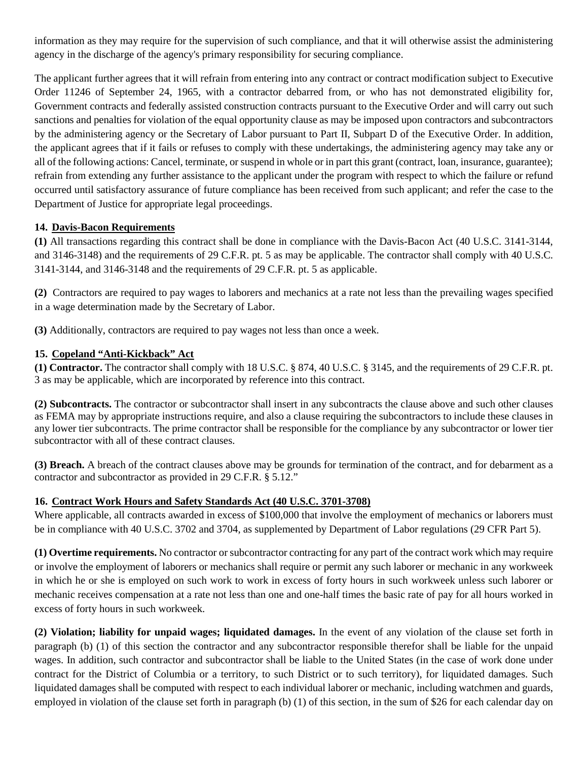information as they may require for the supervision of such compliance, and that it will otherwise assist the administering agency in the discharge of the agency's primary responsibility for securing compliance.

The applicant further agrees that it will refrain from entering into any contract or contract modification subject to Executive Order 11246 of September 24, 1965, with a contractor debarred from, or who has not demonstrated eligibility for, Government contracts and federally assisted construction contracts pursuant to the Executive Order and will carry out such sanctions and penalties for violation of the equal opportunity clause as may be imposed upon contractors and subcontractors by the administering agency or the Secretary of Labor pursuant to Part II, Subpart D of the Executive Order. In addition, the applicant agrees that if it fails or refuses to comply with these undertakings, the administering agency may take any or all of the following actions: Cancel, terminate, or suspend in whole or in part this grant (contract, loan, insurance, guarantee); refrain from extending any further assistance to the applicant under the program with respect to which the failure or refund occurred until satisfactory assurance of future compliance has been received from such applicant; and refer the case to the Department of Justice for appropriate legal proceedings.

#### **14. Davis-Bacon Requirements**

**(1)** All transactions regarding this contract shall be done in compliance with the Davis-Bacon Act (40 U.S.C. 3141-3144, and 3146-3148) and the requirements of 29 C.F.R. pt. 5 as may be applicable. The contractor shall comply with 40 U.S.C. 3141-3144, and 3146-3148 and the requirements of 29 C.F.R. pt. 5 as applicable.

**(2)** Contractors are required to pay wages to laborers and mechanics at a rate not less than the prevailing wages specified in a wage determination made by the Secretary of Labor.

**(3)** Additionally, contractors are required to pay wages not less than once a week.

#### **15. Copeland "Anti-Kickback" Act**

**(1) Contractor.** The contractor shall comply with 18 U.S.C. § 874, 40 U.S.C. § 3145, and the requirements of 29 C.F.R. pt. 3 as may be applicable, which are incorporated by reference into this contract.

**(2) Subcontracts.** The contractor or subcontractor shall insert in any subcontracts the clause above and such other clauses as FEMA may by appropriate instructions require, and also a clause requiring the subcontractors to include these clauses in any lower tier subcontracts. The prime contractor shall be responsible for the compliance by any subcontractor or lower tier subcontractor with all of these contract clauses.

**(3) Breach.** A breach of the contract clauses above may be grounds for termination of the contract, and for debarment as a contractor and subcontractor as provided in 29 C.F.R. § 5.12."

#### **16. Contract Work Hours and Safety Standards Act (40 U.S.C. 3701-3708)**

Where applicable, all contracts awarded in excess of \$100,000 that involve the employment of mechanics or laborers must be in compliance with 40 U.S.C. 3702 and 3704, as supplemented by Department of Labor regulations (29 CFR Part 5).

**(1) Overtime requirements.** No contractor or subcontractor contracting for any part of the contract work which may require or involve the employment of laborers or mechanics shall require or permit any such laborer or mechanic in any workweek in which he or she is employed on such work to work in excess of forty hours in such workweek unless such laborer or mechanic receives compensation at a rate not less than one and one-half times the basic rate of pay for all hours worked in excess of forty hours in such workweek.

**(2) Violation; liability for unpaid wages; liquidated damages.** In the event of any violation of the clause set forth in paragraph (b) (1) of this section the contractor and any subcontractor responsible therefor shall be liable for the unpaid wages. In addition, such contractor and subcontractor shall be liable to the United States (in the case of work done under contract for the District of Columbia or a territory, to such District or to such territory), for liquidated damages. Such liquidated damages shall be computed with respect to each individual laborer or mechanic, including watchmen and guards, employed in violation of the clause set forth in paragraph (b) (1) of this section, in the sum of \$26 for each calendar day on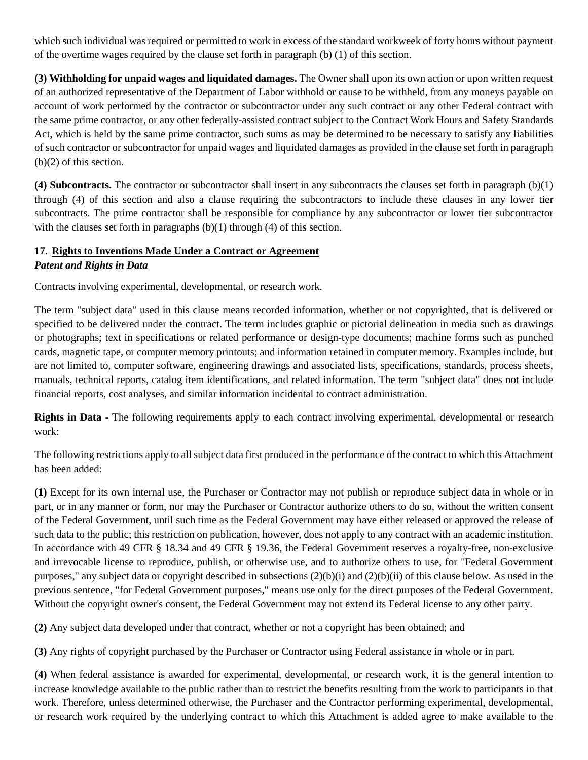which such individual was required or permitted to work in excess of the standard workweek of forty hours without payment of the overtime wages required by the clause set forth in paragraph (b) (1) of this section.

**(3) Withholding for unpaid wages and liquidated damages.** The Owner shall upon its own action or upon written request of an authorized representative of the Department of Labor withhold or cause to be withheld, from any moneys payable on account of work performed by the contractor or subcontractor under any such contract or any other Federal contract with the same prime contractor, or any other federally-assisted contract subject to the Contract Work Hours and Safety Standards Act, which is held by the same prime contractor, such sums as may be determined to be necessary to satisfy any liabilities of such contractor or subcontractor for unpaid wages and liquidated damages as provided in the clause set forth in paragraph (b)(2) of this section.

**(4) Subcontracts.** The contractor or subcontractor shall insert in any subcontracts the clauses set forth in paragraph (b)(1) through (4) of this section and also a clause requiring the subcontractors to include these clauses in any lower tier subcontracts. The prime contractor shall be responsible for compliance by any subcontractor or lower tier subcontractor with the clauses set forth in paragraphs  $(b)(1)$  through  $(4)$  of this section.

#### **17. Rights to Inventions Made Under a Contract or Agreement**

#### *Patent and Rights in Data*

Contracts involving experimental, developmental, or research work.

The term "subject data" used in this clause means recorded information, whether or not copyrighted, that is delivered or specified to be delivered under the contract. The term includes graphic or pictorial delineation in media such as drawings or photographs; text in specifications or related performance or design-type documents; machine forms such as punched cards, magnetic tape, or computer memory printouts; and information retained in computer memory. Examples include, but are not limited to, computer software, engineering drawings and associated lists, specifications, standards, process sheets, manuals, technical reports, catalog item identifications, and related information. The term "subject data" does not include financial reports, cost analyses, and similar information incidental to contract administration.

**Rights in Data** - The following requirements apply to each contract involving experimental, developmental or research work:

The following restrictions apply to all subject data first produced in the performance of the contract to which this Attachment has been added:

**(1)** Except for its own internal use, the Purchaser or Contractor may not publish or reproduce subject data in whole or in part, or in any manner or form, nor may the Purchaser or Contractor authorize others to do so, without the written consent of the Federal Government, until such time as the Federal Government may have either released or approved the release of such data to the public; this restriction on publication, however, does not apply to any contract with an academic institution. In accordance with 49 CFR § 18.34 and 49 CFR § 19.36, the Federal Government reserves a royalty-free, non-exclusive and irrevocable license to reproduce, publish, or otherwise use, and to authorize others to use, for "Federal Government purposes," any subject data or copyright described in subsections  $(2)(b)(i)$  and  $(2)(b)(ii)$  of this clause below. As used in the previous sentence, "for Federal Government purposes," means use only for the direct purposes of the Federal Government. Without the copyright owner's consent, the Federal Government may not extend its Federal license to any other party.

**(2)** Any subject data developed under that contract, whether or not a copyright has been obtained; and

**(3)** Any rights of copyright purchased by the Purchaser or Contractor using Federal assistance in whole or in part.

**(4)** When federal assistance is awarded for experimental, developmental, or research work, it is the general intention to increase knowledge available to the public rather than to restrict the benefits resulting from the work to participants in that work. Therefore, unless determined otherwise, the Purchaser and the Contractor performing experimental, developmental, or research work required by the underlying contract to which this Attachment is added agree to make available to the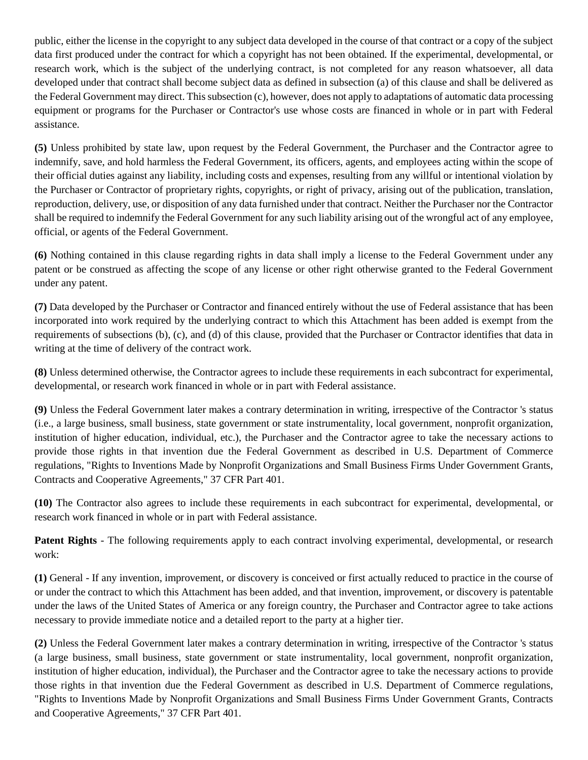public, either the license in the copyright to any subject data developed in the course of that contract or a copy of the subject data first produced under the contract for which a copyright has not been obtained. If the experimental, developmental, or research work, which is the subject of the underlying contract, is not completed for any reason whatsoever, all data developed under that contract shall become subject data as defined in subsection (a) of this clause and shall be delivered as the Federal Government may direct. This subsection (c), however, does not apply to adaptations of automatic data processing equipment or programs for the Purchaser or Contractor's use whose costs are financed in whole or in part with Federal assistance.

**(5)** Unless prohibited by state law, upon request by the Federal Government, the Purchaser and the Contractor agree to indemnify, save, and hold harmless the Federal Government, its officers, agents, and employees acting within the scope of their official duties against any liability, including costs and expenses, resulting from any willful or intentional violation by the Purchaser or Contractor of proprietary rights, copyrights, or right of privacy, arising out of the publication, translation, reproduction, delivery, use, or disposition of any data furnished under that contract. Neither the Purchaser nor the Contractor shall be required to indemnify the Federal Government for any such liability arising out of the wrongful act of any employee, official, or agents of the Federal Government.

**(6)** Nothing contained in this clause regarding rights in data shall imply a license to the Federal Government under any patent or be construed as affecting the scope of any license or other right otherwise granted to the Federal Government under any patent.

**(7)** Data developed by the Purchaser or Contractor and financed entirely without the use of Federal assistance that has been incorporated into work required by the underlying contract to which this Attachment has been added is exempt from the requirements of subsections (b), (c), and (d) of this clause, provided that the Purchaser or Contractor identifies that data in writing at the time of delivery of the contract work.

**(8)** Unless determined otherwise, the Contractor agrees to include these requirements in each subcontract for experimental, developmental, or research work financed in whole or in part with Federal assistance.

**(9)** Unless the Federal Government later makes a contrary determination in writing, irrespective of the Contractor 's status (i.e., a large business, small business, state government or state instrumentality, local government, nonprofit organization, institution of higher education, individual, etc.), the Purchaser and the Contractor agree to take the necessary actions to provide those rights in that invention due the Federal Government as described in U.S. Department of Commerce regulations, "Rights to Inventions Made by Nonprofit Organizations and Small Business Firms Under Government Grants, Contracts and Cooperative Agreements," 37 CFR Part 401.

**(10)** The Contractor also agrees to include these requirements in each subcontract for experimental, developmental, or research work financed in whole or in part with Federal assistance.

**Patent Rights** - The following requirements apply to each contract involving experimental, developmental, or research work:

**(1)** General - If any invention, improvement, or discovery is conceived or first actually reduced to practice in the course of or under the contract to which this Attachment has been added, and that invention, improvement, or discovery is patentable under the laws of the United States of America or any foreign country, the Purchaser and Contractor agree to take actions necessary to provide immediate notice and a detailed report to the party at a higher tier.

**(2)** Unless the Federal Government later makes a contrary determination in writing, irrespective of the Contractor 's status (a large business, small business, state government or state instrumentality, local government, nonprofit organization, institution of higher education, individual), the Purchaser and the Contractor agree to take the necessary actions to provide those rights in that invention due the Federal Government as described in U.S. Department of Commerce regulations, "Rights to Inventions Made by Nonprofit Organizations and Small Business Firms Under Government Grants, Contracts and Cooperative Agreements," 37 CFR Part 401.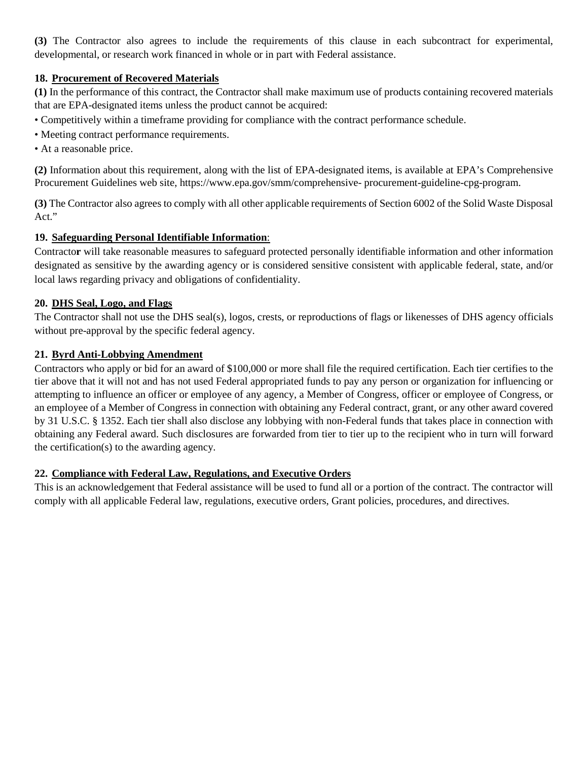**(3)** The Contractor also agrees to include the requirements of this clause in each subcontract for experimental, developmental, or research work financed in whole or in part with Federal assistance.

#### **18. Procurement of Recovered Materials**

**(1)** In the performance of this contract, the Contractor shall make maximum use of products containing recovered materials that are EPA-designated items unless the product cannot be acquired:

• Competitively within a timeframe providing for compliance with the contract performance schedule.

- Meeting contract performance requirements.
- At a reasonable price.

**(2)** Information about this requirement, along with the list of EPA-designated items, is available at EPA's Comprehensive Procurement Guidelines web site, https://www.epa.gov/smm/comprehensive- procurement-guideline-cpg-program.

**(3)** The Contractor also agrees to comply with all other applicable requirements of Section 6002 of the Solid Waste Disposal Act."

#### **19. Safeguarding Personal Identifiable Information**:

Contracto**r** will take reasonable measures to safeguard protected personally identifiable information and other information designated as sensitive by the awarding agency or is considered sensitive consistent with applicable federal, state, and/or local laws regarding privacy and obligations of confidentiality.

#### **20. DHS Seal, Logo, and Flags**

The Contractor shall not use the DHS seal(s), logos, crests, or reproductions of flags or likenesses of DHS agency officials without pre-approval by the specific federal agency.

#### **21. Byrd Anti-Lobbying Amendment**

Contractors who apply or bid for an award of \$100,000 or more shall file the required certification. Each tier certifies to the tier above that it will not and has not used Federal appropriated funds to pay any person or organization for influencing or attempting to influence an officer or employee of any agency, a Member of Congress, officer or employee of Congress, or an employee of a Member of Congress in connection with obtaining any Federal contract, grant, or any other award covered by 31 U.S.C. § 1352. Each tier shall also disclose any lobbying with non-Federal funds that takes place in connection with obtaining any Federal award. Such disclosures are forwarded from tier to tier up to the recipient who in turn will forward the certification(s) to the awarding agency.

#### **22. Compliance with Federal Law, Regulations, and Executive Orders**

This is an acknowledgement that Federal assistance will be used to fund all or a portion of the contract. The contractor will comply with all applicable Federal law, regulations, executive orders, Grant policies, procedures, and directives.